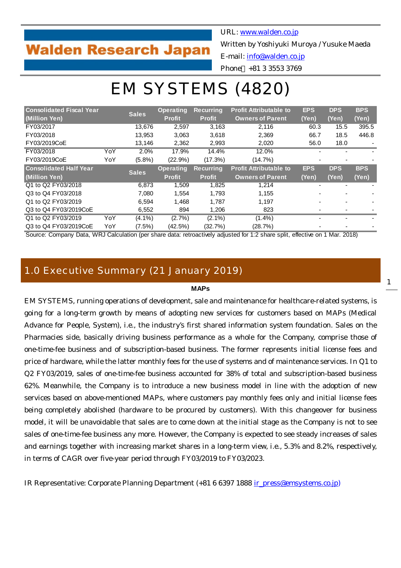## **Walden Research Japan**

URL: [www.walden.co.jp](http://www.walden.co.jp/)

Written by Yoshiyuki Muroya / Yusuke Maeda

E-mail: [info@walden.co.jp](mailto:info@walden.co.jp)

Phone +81 3 3553 3769

# EM SYSTEMS (4820)

| <b>Consolidated Fiscal Year</b>                                                                                        |              |              | <b>Operating</b> | <b>Recurring</b> | <b>Profit Attributable to</b> | <b>EPS</b> | <b>DPS</b> | <b>BPS</b> |
|------------------------------------------------------------------------------------------------------------------------|--------------|--------------|------------------|------------------|-------------------------------|------------|------------|------------|
| (Million Yen)                                                                                                          | <b>Sales</b> |              | <b>Profit</b>    | <b>Profit</b>    | <b>Owners of Parent</b>       | (Yen)      | (Yen)      | (Yen)      |
| FY03/2017                                                                                                              |              | 13.676       | 2,597            | 3,163            | 2.116                         | 60.3       | 15.5       | 395.5      |
| FY03/2018                                                                                                              |              | 13.953       | 3,063            | 3,618            | 2,369                         | 66.7       | 18.5       | 446.8      |
| FY03/2019CoE                                                                                                           |              | 13,146       | 2,362            | 2,993            | 2,020                         | 56.0       | 18.0       |            |
| FY03/2018                                                                                                              | YoY          | 2.0%         | 17.9%            | 14.4%            | 12.0%                         |            |            |            |
| FY03/2019CoE                                                                                                           | YoY          | $(5.8\%)$    | $(22.9\%)$       | $(17.3\%)$       | $(14.7\%)$                    |            |            |            |
| <b>Consolidated Half Year</b>                                                                                          |              |              | <b>Operating</b> | <b>Recurring</b> | <b>Profit Attributable to</b> | <b>EPS</b> | <b>DPS</b> | <b>BPS</b> |
| (Million Yen)                                                                                                          |              | <b>Sales</b> | <b>Profit</b>    | <b>Profit</b>    | <b>Owners of Parent</b>       | (Yen)      | (Yen)      | (Yen)      |
| Q1 to Q2 FY03/2018                                                                                                     |              | 6.873        | 1,509            | 1,825            | 1.214                         |            |            |            |
| Q3 to Q4 FY03/2018                                                                                                     |              | 7.080        | 1.554            | 1.793            | 1.155                         |            |            |            |
| Q1 to Q2 FY03/2019                                                                                                     |              | 6,594        | 1.468            | 1.787            | 1,197                         |            |            |            |
| Q3 to Q4 FY03/2019CoE                                                                                                  |              | 6,552        | 894              | 1,206            | 823                           |            |            |            |
| Q1 to Q2 FY03/2019                                                                                                     | YoY          | $(4.1\%)$    | $(2.7\%)$        | $(2.1\%)$        | $(1.4\%)$                     |            |            |            |
| Q3 to Q4 FY03/2019CoE                                                                                                  | YoY          | $(7.5\%)$    | (42.5%)          | (32.7%)          | (28.7%)                       |            |            |            |
| Course Company Data, WDJ Coloulation (nonologie data, retrogetivaly policeted for 4:0 above aplituded in a 4 May 2040) |              |              |                  |                  |                               |            |            |            |

Source: Company Data, WRJ Calculation (per share data: retroactively adjusted for 1:2 share split, effective on 1 Mar. 2018)

## 1.0 Executive Summary (21 January 2019)

## **MAPs**

EM SYSTEMS, running operations of development, sale and maintenance for healthcare-related systems, is going for a long-term growth by means of adopting new services for customers based on MAPs (Medical Advance for People, System), i.e., the industry's first shared information system foundation. Sales on the Pharmacies side, basically driving business performance as a whole for the Company, comprise those of one-time-fee business and of subscription-based business. The former represents initial license fees and price of hardware, while the latter monthly fees for the use of systems and of maintenance services. In Q1 to Q2 FY03/2019, sales of one-time-fee business accounted for 38% of total and subscription-based business 62%. Meanwhile, the Company is to introduce a new business model in line with the adoption of new services based on above-mentioned MAPs, where customers pay monthly fees only and initial license fees being completely abolished (hardware to be procured by customers). With this changeover for business model, it will be unavoidable that sales are to come down at the initial stage as the Company is not to see sales of one-time-fee business any more. However, the Company is expected to see steady increases of sales and earnings together with increasing market shares in a long-term view, i.e., 5.3% and 8.2%, respectively, in terms of CAGR over five-year period through FY03/2019 to FY03/2023.

IR Representative: Corporate Planning Department (+81 6 6397 1888 ir press@emsystems.co.jp)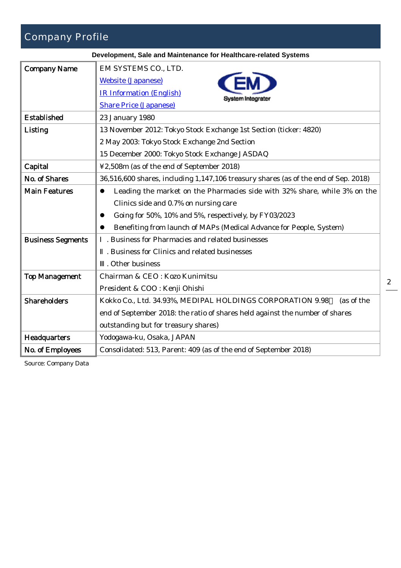## Company Profile

| Development, Sale and Maintenance for Healthcare-related Systems |                                                                                                                   |  |  |  |  |  |  |
|------------------------------------------------------------------|-------------------------------------------------------------------------------------------------------------------|--|--|--|--|--|--|
| <b>Company Name</b>                                              | EM SYSTEMS CO., LTD.                                                                                              |  |  |  |  |  |  |
|                                                                  | <b>Website (Japanese)</b>                                                                                         |  |  |  |  |  |  |
|                                                                  | <b>IR Information (English)</b>                                                                                   |  |  |  |  |  |  |
|                                                                  | System Integrate<br><b>Share Price (Japanese)</b>                                                                 |  |  |  |  |  |  |
| <b>Established</b>                                               | 23 January 1980                                                                                                   |  |  |  |  |  |  |
| Listing                                                          | 13 November 2012: Tokyo Stock Exchange 1st Section (ticker: 4820)<br>2 May 2003: Tokyo Stock Exchange 2nd Section |  |  |  |  |  |  |
|                                                                  |                                                                                                                   |  |  |  |  |  |  |
|                                                                  | 15 December 2000: Tokyo Stock Exchange JASDAQ                                                                     |  |  |  |  |  |  |
| Capital                                                          | ¥2,508m (as of the end of September 2018)                                                                         |  |  |  |  |  |  |
| No. of Shares                                                    | 36,516,600 shares, including 1,147,106 treasury shares (as of the end of Sep. 2018)                               |  |  |  |  |  |  |
| <b>Main Features</b>                                             | Leading the market on the Pharmacies side with 32% share, while 3% on the<br>$\bullet$                            |  |  |  |  |  |  |
|                                                                  | Clinics side and 0.7% on nursing care                                                                             |  |  |  |  |  |  |
|                                                                  | Going for 50%, 10% and 5%, respectively, by FY03/2023                                                             |  |  |  |  |  |  |
|                                                                  | Benefiting from launch of MAPs (Medical Advance for People, System)                                               |  |  |  |  |  |  |
| <b>Business Segments</b>                                         | . Business for Pharmacies and related businesses                                                                  |  |  |  |  |  |  |
|                                                                  | . Business for Clinics and related businesses                                                                     |  |  |  |  |  |  |
|                                                                  | . Other business                                                                                                  |  |  |  |  |  |  |
| <b>Top Management</b>                                            | Chairman & CEO: Kozo Kunimitsu                                                                                    |  |  |  |  |  |  |
|                                                                  | President & COO : Kenji Ohishi                                                                                    |  |  |  |  |  |  |
| <b>Shareholders</b>                                              | Kokko Co., Ltd. 34.93%, MEDIPAL HOLDINGS CORPORATION 9.98<br>(as of the                                           |  |  |  |  |  |  |
|                                                                  | end of September 2018: the ratio of shares held against the number of shares                                      |  |  |  |  |  |  |
|                                                                  | outstanding but for treasury shares)                                                                              |  |  |  |  |  |  |
| Headquarters                                                     | Yodogawa-ku, Osaka, JAPAN                                                                                         |  |  |  |  |  |  |
| No. of Employees                                                 | Consolidated: 513, Parent: 409 (as of the end of September 2018)                                                  |  |  |  |  |  |  |

Source: Company Data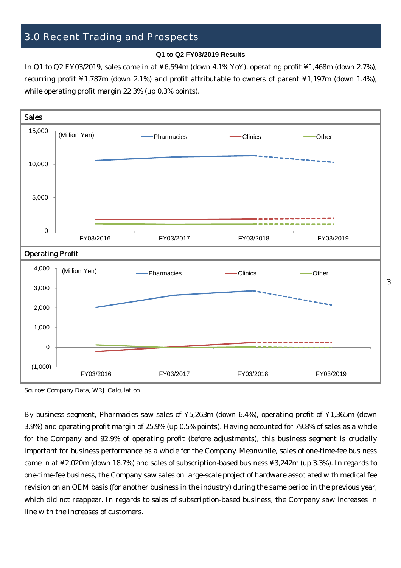## 3.0 Recent Trading and Prospects

#### **Q1 to Q2 FY03/2019 Results**

In Q1 to Q2 FY03/2019, sales came in at ¥6,594m (down 4.1% YoY), operating profit ¥1,468m (down 2.7%), recurring profit ¥1,787m (down 2.1%) and profit attributable to owners of parent ¥1,197m (down 1.4%), while operating profit margin 22.3% (up 0.3% points).



Source: Company Data, WRJ Calculation

By business segment, Pharmacies saw sales of ¥5,263m (down 6.4%), operating profit of ¥1,365m (down 3.9%) and operating profit margin of 25.9% (up 0.5% points). Having accounted for 79.8% of sales as a whole for the Company and 92.9% of operating profit (before adjustments), this business segment is crucially important for business performance as a whole for the Company. Meanwhile, sales of one-time-fee business came in at ¥2,020m (down 18.7%) and sales of subscription-based business ¥3,242m (up 3.3%). In regards to one-time-fee business, the Company saw sales on large-scale project of hardware associated with medical fee revision on an OEM basis (for another business in the industry) during the same period in the previous year, which did not reappear. In regards to sales of subscription-based business, the Company saw increases in line with the increases of customers.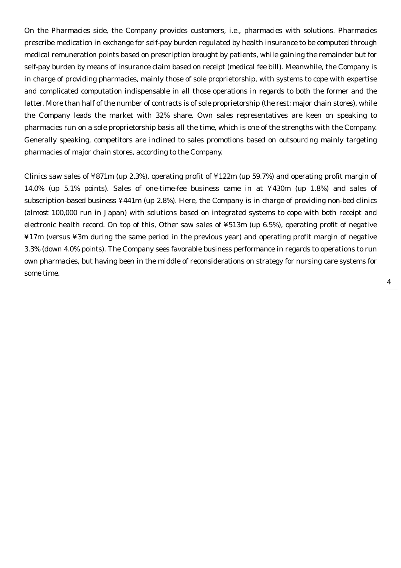On the Pharmacies side, the Company provides customers, i.e., pharmacies with solutions. Pharmacies prescribe medication in exchange for self-pay burden regulated by health insurance to be computed through medical remuneration points based on prescription brought by patients, while gaining the remainder but for self-pay burden by means of insurance claim based on receipt (medical fee bill). Meanwhile, the Company is in charge of providing pharmacies, mainly those of sole proprietorship, with systems to cope with expertise and complicated computation indispensable in all those operations in regards to both the former and the latter. More than half of the number of contracts is of sole proprietorship (the rest: major chain stores), while the Company leads the market with 32% share. Own sales representatives are keen on speaking to pharmacies run on a sole proprietorship basis all the time, which is one of the strengths with the Company. Generally speaking, competitors are inclined to sales promotions based on outsourcing mainly targeting pharmacies of major chain stores, according to the Company.

Clinics saw sales of ¥871m (up 2.3%), operating profit of ¥122m (up 59.7%) and operating profit margin of 14.0% (up 5.1% points). Sales of one-time-fee business came in at ¥430m (up 1.8%) and sales of subscription-based business ¥441m (up 2.8%). Here, the Company is in charge of providing non-bed clinics (almost 100,000 run in Japan) with solutions based on integrated systems to cope with both receipt and electronic health record. On top of this, Other saw sales of ¥513m (up 6.5%), operating profit of negative ¥17m (versus ¥3m during the same period in the previous year) and operating profit margin of negative 3.3% (down 4.0% points). The Company sees favorable business performance in regards to operations to run own pharmacies, but having been in the middle of reconsiderations on strategy for nursing care systems for some time.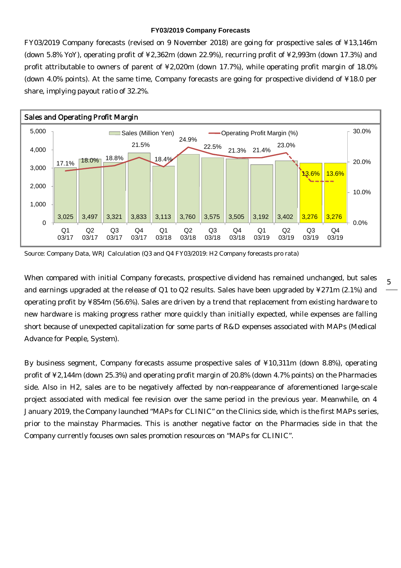#### **FY03/2019 Company Forecasts**

FY03/2019 Company forecasts (revised on 9 November 2018) are going for prospective sales of ¥13,146m (down 5.8% YoY), operating profit of ¥2,362m (down 22.9%), recurring profit of ¥2,993m (down 17.3%) and profit attributable to owners of parent of ¥2,020m (down 17.7%), while operating profit margin of 18.0% (down 4.0% points). At the same time, Company forecasts are going for prospective dividend of ¥18.0 per share, implying payout ratio of 32.2%.



Source: Company Data, WRJ Calculation (Q3 and Q4 FY03/2019: H2 Company forecasts pro rata)

When compared with initial Company forecasts, prospective dividend has remained unchanged, but sales and earnings upgraded at the release of Q1 to Q2 results. Sales have been upgraded by ¥271m (2.1%) and operating profit by ¥854m (56.6%). Sales are driven by a trend that replacement from existing hardware to new hardware is making progress rather more quickly than initially expected, while expenses are falling short because of unexpected capitalization for some parts of R&D expenses associated with MAPs (Medical Advance for People, System).

By business segment, Company forecasts assume prospective sales of ¥10,311m (down 8.8%), operating profit of ¥2,144m (down 25.3%) and operating profit margin of 20.8% (down 4.7% points) on the Pharmacies side. Also in H2, sales are to be negatively affected by non-reappearance of aforementioned large-scale project associated with medical fee revision over the same period in the previous year. Meanwhile, on 4 January 2019, the Company launched "MAPs for CLINIC" on the Clinics side, which is the first MAPs series, prior to the mainstay Pharmacies. This is another negative factor on the Pharmacies side in that the Company currently focuses own sales promotion resources on "MAPs for CLINIC".

5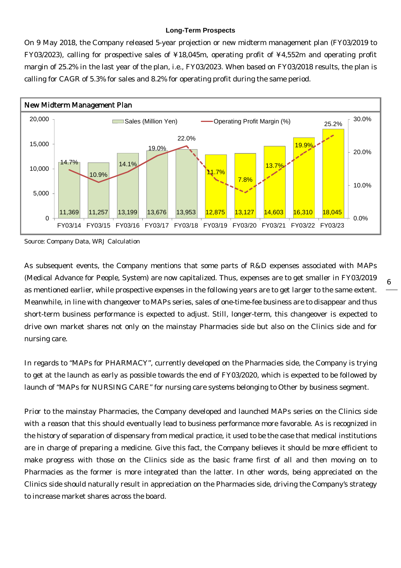### **Long-Term Prospects**

On 9 May 2018, the Company released 5-year projection or new midterm management plan (FY03/2019 to FY03/2023), calling for prospective sales of ¥18,045m, operating profit of ¥4,552m and operating profit margin of 25.2% in the last year of the plan, i.e., FY03/2023. When based on FY03/2018 results, the plan is calling for CAGR of 5.3% for sales and 8.2% for operating profit during the same period.



Source: Company Data, WRJ Calculation

As subsequent events, the Company mentions that some parts of R&D expenses associated with MAPs (Medical Advance for People, System) are now capitalized. Thus, expenses are to get smaller in FY03/2019 as mentioned earlier, while prospective expenses in the following years are to get larger to the same extent. Meanwhile, in line with changeover to MAPs series, sales of one-time-fee business are to disappear and thus short-term business performance is expected to adjust. Still, longer-term, this changeover is expected to drive own market shares not only on the mainstay Pharmacies side but also on the Clinics side and for nursing care.

In regards to "MAPs for PHARMACY", currently developed on the Pharmacies side, the Company is trying to get at the launch as early as possible towards the end of FY03/2020, which is expected to be followed by launch of "MAPs for NURSING CARE" for nursing care systems belonging to Other by business segment.

Prior to the mainstay Pharmacies, the Company developed and launched MAPs series on the Clinics side with a reason that this should eventually lead to business performance more favorable. As is recognized in the history of separation of dispensary from medical practice, it used to be the case that medical institutions are in charge of preparing a medicine. Give this fact, the Company believes it should be more efficient to make progress with those on the Clinics side as the basic frame first of all and then moving on to Pharmacies as the former is more integrated than the latter. In other words, being appreciated on the Clinics side should naturally result in appreciation on the Pharmacies side, driving the Company's strategy to increase market shares across the board.